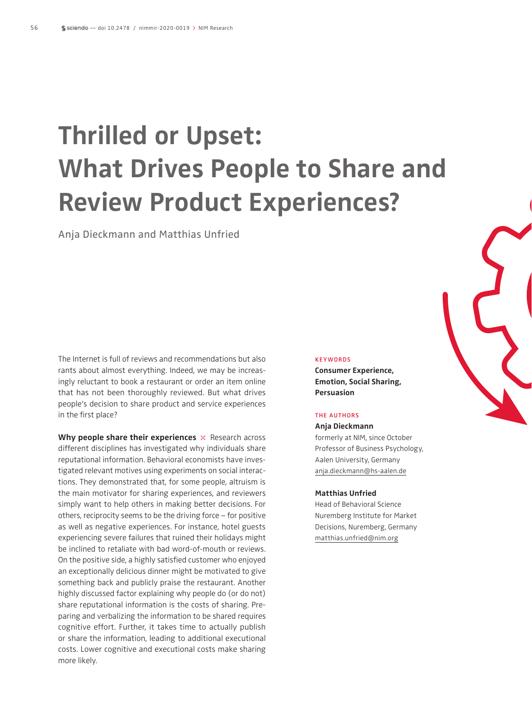# **Thrilled or Upset: What Drives People to Share and Review Product Experiences?**

Anja Dieckmann and Matthias Unfried

The Internet is full of reviews and recommendations but also rants about almost everything. Indeed, we may be increasingly reluctant to book a restaurant or order an item online that has not been thoroughly reviewed. But what drives people's decision to share product and service experiences in the first place?

**Why people share their experiences**  $\times$  Research across different disciplines has investigated why individuals share reputational information. Behavioral economists have investigated relevant motives using experiments on social interactions. They demonstrated that, for some people, altruism is the main motivator for sharing experiences, and reviewers simply want to help others in making better decisions. For others, reciprocity seems to be the driving force – for positive as well as negative experiences. For instance, hotel guests experiencing severe failures that ruined their holidays might be inclined to retaliate with bad word-of-mouth or reviews. On the positive side, a highly satisfied customer who enjoyed an exceptionally delicious dinner might be motivated to give something back and publicly praise the restaurant. Another highly discussed factor explaining why people do (or do not) share reputational information is the costs of sharing. Preparing and verbalizing the information to be shared requires cognitive effort. Further, it takes time to actually publish or share the information, leading to additional executional costs. Lower cognitive and executional costs make sharing more likely.

#### **KEYWORDS**

**Consumer Experience, Emotion, Social Sharing, Persuasion**

#### THE AUTHORS

**Anja Dieckmann** formerly at NIM, since October Professor of Business Psychology, Aalen University, Germany anja.dieckmann@hs-aalen.de

#### **Matthias Unfried**

Head of Behavioral Science Nuremberg Institute for Market Decisions, Nuremberg, Germany matthias.unfried@nim.org

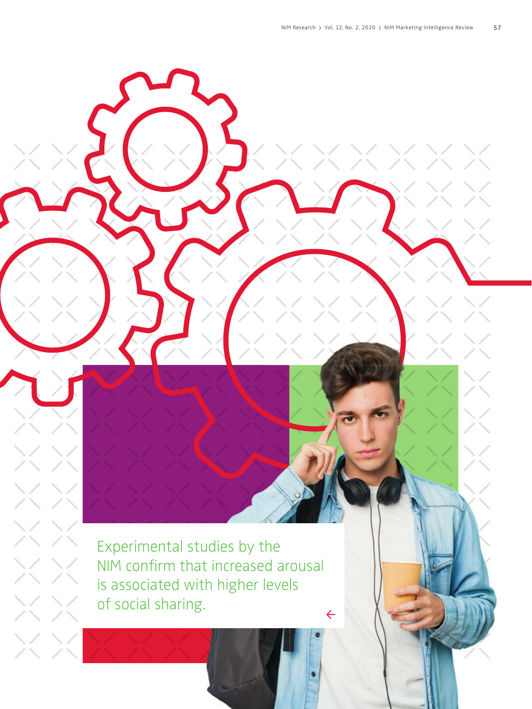Experimental studies by the NIM confirm that increased arousal is associated with higher levels of social sharing. $\leftarrow$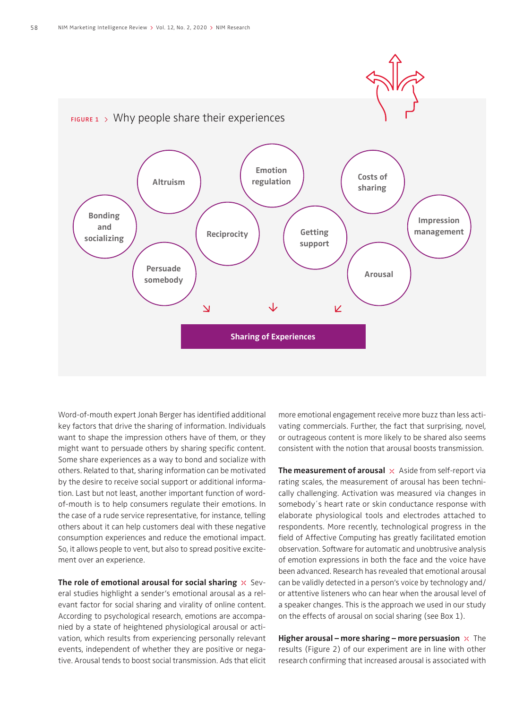

Word-of-mouth expert Jonah Berger has identified additional key factors that drive the sharing of information. Individuals want to shape the impression others have of them, or they might want to persuade others by sharing specific content. Some share experiences as a way to bond and socialize with others. Related to that, sharing information can be motivated by the desire to receive social support or additional information. Last but not least, another important function of wordof-mouth is to help consumers regulate their emotions. In the case of a rude service representative, for instance, telling others about it can help customers deal with these negative consumption experiences and reduce the emotional impact. So, it allows people to vent, but also to spread positive excitement over an experience.

**The role of emotional arousal for social sharing**  $\times$  Several studies highlight a sender's emotional arousal as a relevant factor for social sharing and virality of online content. According to psychological research, emotions are accompanied by a state of heightened physiological arousal or activation, which results from experiencing personally relevant events, independent of whether they are positive or negative. Arousal tends to boost social transmission. Ads that elicit

more emotional engagement receive more buzz than less activating commercials. Further, the fact that surprising, novel, or outrageous content is more likely to be shared also seems consistent with the notion that arousal boosts transmission.

**The measurement of arousal**  $\times$  Aside from self-report via rating scales, the measurement of arousal has been technically challenging. Activation was measured via changes in somebody´s heart rate or skin conductance response with elaborate physiological tools and electrodes attached to respondents. More recently, technological progress in the field of Affective Computing has greatly facilitated emotion observation. Software for automatic and unobtrusive analysis of emotion expressions in both the face and the voice have been advanced. Research has revealed that emotional arousal can be validly detected in a person's voice by technology and/ or attentive listeners who can hear when the arousal level of a speaker changes. This is the approach we used in our study on the effects of arousal on social sharing (see Box 1).

**Higher arousal – more sharing – more persuasion**  $\times$  The results (Figure 2) of our experiment are in line with other research confirming that increased arousal is associated with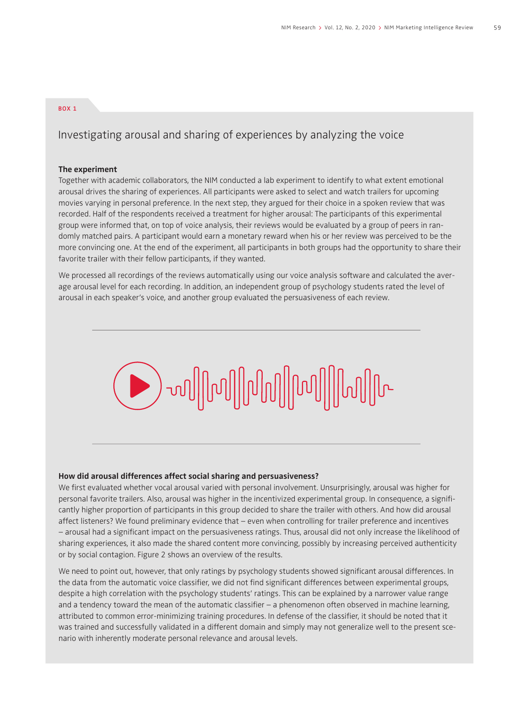#### BOX 1

### Investigating arousal and sharing of experiences by analyzing the voice

#### **The experiment**

Together with academic collaborators, the NIM conducted a lab experiment to identify to what extent emotional arousal drives the sharing of experiences. All participants were asked to select and watch trailers for upcoming movies varying in personal preference. In the next step, they argued for their choice in a spoken review that was recorded. Half of the respondents received a treatment for higher arousal: The participants of this experimental group were informed that, on top of voice analysis, their reviews would be evaluated by a group of peers in randomly matched pairs. A participant would earn a monetary reward when his or her review was perceived to be the more convincing one. At the end of the experiment, all participants in both groups had the opportunity to share their favorite trailer with their fellow participants, if they wanted.

We processed all recordings of the reviews automatically using our voice analysis software and calculated the average arousal level for each recording. In addition, an independent group of psychology students rated the level of arousal in each speaker's voice, and another group evaluated the persuasiveness of each review.



#### **How did arousal differences affect social sharing and persuasiveness?**

We first evaluated whether vocal arousal varied with personal involvement. Unsurprisingly, arousal was higher for personal favorite trailers. Also, arousal was higher in the incentivized experimental group. In consequence, a significantly higher proportion of participants in this group decided to share the trailer with others. And how did arousal affect listeners? We found preliminary evidence that – even when controlling for trailer preference and incentives – arousal had a significant impact on the persuasiveness ratings. Thus, arousal did not only increase the likelihood of sharing experiences, it also made the shared content more convincing, possibly by increasing perceived authenticity or by social contagion. Figure 2 shows an overview of the results.

We need to point out, however, that only ratings by psychology students showed significant arousal differences. In the data from the automatic voice classifier, we did not find significant differences between experimental groups, despite a high correlation with the psychology students' ratings. This can be explained by a narrower value range and a tendency toward the mean of the automatic classifier  $-$  a phenomenon often observed in machine learning, attributed to common error-minimizing training procedures. In defense of the classifier, it should be noted that it was trained and successfully validated in a different domain and simply may not generalize well to the present scenario with inherently moderate personal relevance and arousal levels.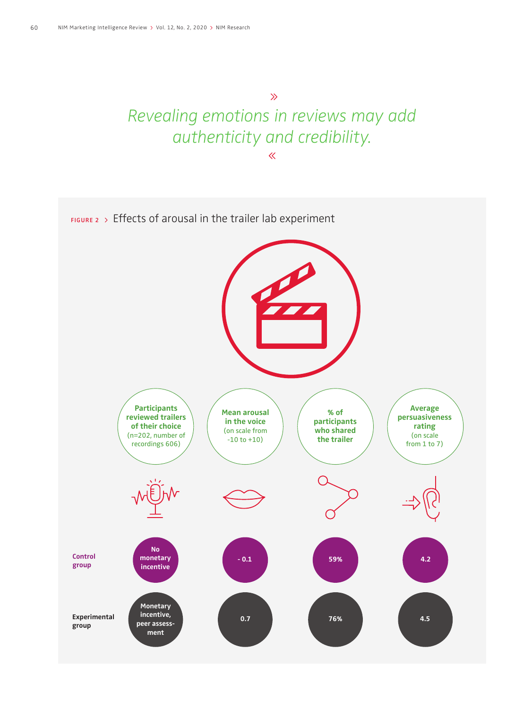## $\gg$ Revealing emotions in reviews may add authenticity and credibility.  $\overline{\ll}$